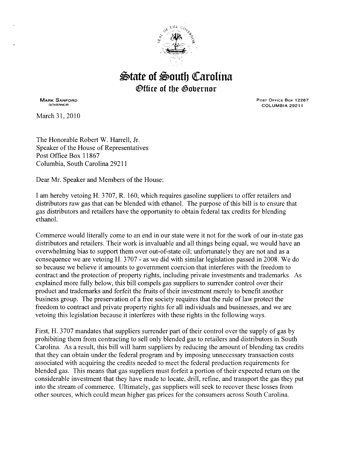

## $\triangle$ tate of  $\triangle$ outh Carolina *®ffice of the Governor*

MARK SANFORD GOVERNOR

March 31, 2010

POST OFFICE Box 12267 COLUMBIA 29211

The Honorable Robert W. Harrell, Jr. Speaker of the House of Representatives Post Office Box 11867 Columbia, South Carolina 29211

Dear Mr. Speaker and Members of the House:

I am hereby vetoing H. 3707, R. 160, which requires gasoline suppliers to offer retailers and distributors raw gas that can be blended with ethanol. The purpose of this bill is to ensure that gas distributors and retailers have the opportunity to obtain federal tax credits for blending ethanol.

Commerce would literally come to an end in our state were it not for the work of our in-state gas distributors and retailers. Their work is invaluable and all things being equal, we would have an overwhelming bias to support them over out-of-state oil; unfortunately they are not and as a consequence we are vetoing H. 3707- as we did with similar legislation passed in 2008. We do so because we believe it amounts to government coercion that interferes with the freedom to contract and the protection of property rights, including private investments and trademarks. As explained more fully below, this bill compels gas suppliers to surrender control over their product and trademarks and forfeit the fruits of their investment merely to benefit another business group. The preservation of a free society requires that the rule of law protect the freedom to contract and private property rights for all individuals and businesses, and we are vetoing this legislation because it interferes with these rights in the following ways.

First, H. 3 707 mandates that suppliers surrender part of their control over the supply of gas by prohibiting them from contracting to sell only blended gas to retailers and distributors in South Carolina. As a result, this bill will harm suppliers by reducing the amount of blending tax credits that they can obtain under the federal program and by imposing unnecessary transaction costs associated with acquiring the credits needed to meet the federal production requirements for blended gas. This means that gas suppliers must forfeit a portion of their expected return on the considerable investment that they have made to locate, drill, refine, and transport the gas they put into the stream of commerce. Ultimately, gas suppliers will seek to recover these losses from other sources, which could mean higher gas prices for the consumers across South Carolina.